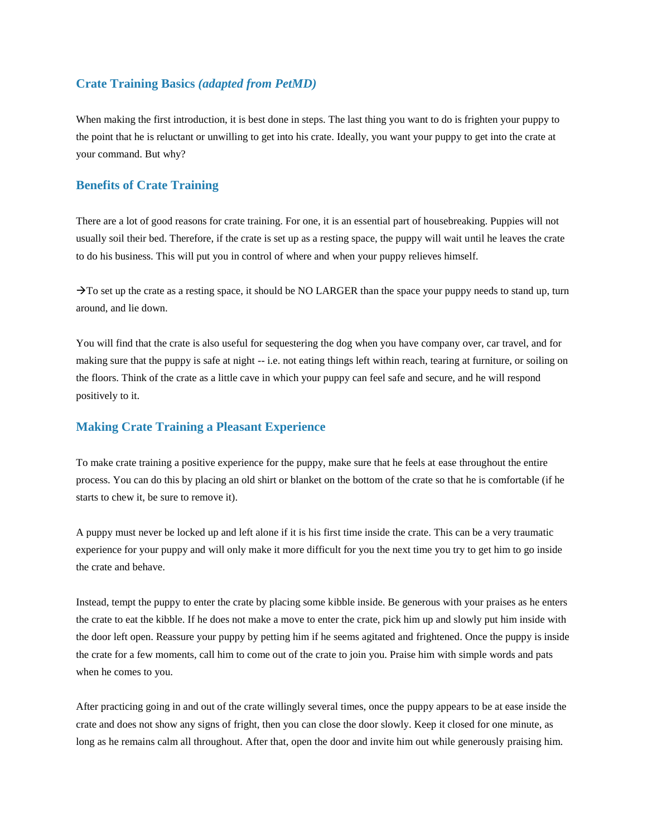## **Crate Training Basics** *(adapted from PetMD)*

When making the first introduction, it is best done in steps. The last thing you want to do is frighten your puppy to the point that he is reluctant or unwilling to get into his crate. Ideally, you want your puppy to get into the crate at your command. But why?

## **Benefits of Crate Training**

There are a lot of good reasons for crate training. For one, it is an essential part of housebreaking. Puppies will not usually soil their bed. Therefore, if the crate is set up as a resting space, the puppy will wait until he leaves the crate to do his business. This will put you in control of where and when your puppy relieves himself.

 $\rightarrow$  To set up the crate as a resting space, it should be NO LARGER than the space your puppy needs to stand up, turn around, and lie down.

You will find that the crate is also useful for sequestering the dog when you have company over, car travel, and for making sure that the puppy is safe at night -- i.e. not eating things left within reach, tearing at furniture, or soiling on the floors. Think of the crate as a little cave in which your puppy can feel safe and secure, and he will respond positively to it.

## **Making Crate Training a Pleasant Experience**

To make crate training a positive experience for the puppy, make sure that he feels at ease throughout the entire process. You can do this by placing an old shirt or blanket on the bottom of the crate so that he is comfortable (if he starts to chew it, be sure to remove it).

A puppy must never be locked up and left alone if it is his first time inside the crate. This can be a very traumatic experience for your puppy and will only make it more difficult for you the next time you try to get him to go inside the crate and behave.

Instead, tempt the puppy to enter the crate by placing some kibble inside. Be generous with your praises as he enters the crate to eat the kibble. If he does not make a move to enter the crate, pick him up and slowly put him inside with the door left open. Reassure your puppy by petting him if he seems agitated and frightened. Once the puppy is inside the crate for a few moments, call him to come out of the crate to join you. Praise him with simple words and pats when he comes to you.

After practicing going in and out of the crate willingly several times, once the puppy appears to be at ease inside the crate and does not show any signs of fright, then you can close the door slowly. Keep it closed for one minute, as long as he remains calm all throughout. After that, open the door and invite him out while generously praising him.